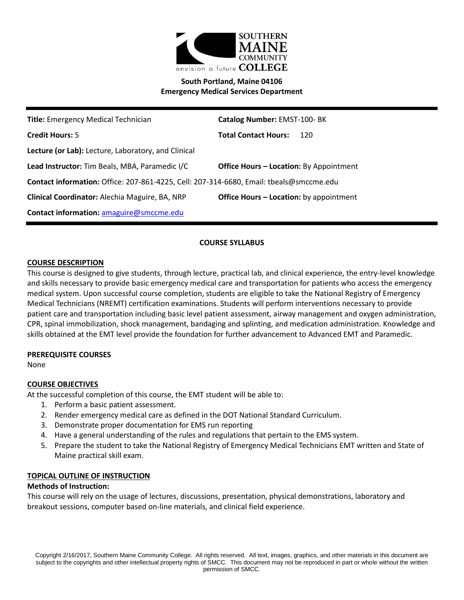

# **South Portland, Maine 04106 Emergency Medical Services Department**

| <b>Title:</b> Emergency Medical Technician                                                       | Catalog Number: EMST-100-BK                    |  |
|--------------------------------------------------------------------------------------------------|------------------------------------------------|--|
| <b>Credit Hours: 5</b>                                                                           | <b>Total Contact Hours:</b><br>120             |  |
| Lecture (or Lab): Lecture, Laboratory, and Clinical                                              |                                                |  |
| Lead Instructor: Tim Beals, MBA, Paramedic I/C<br><b>Office Hours – Location:</b> By Appointment |                                                |  |
| Contact information: Office: 207-861-4225, Cell: 207-314-6680, Email: tbeals@smccme.edu          |                                                |  |
| Clinical Coordinator: Alechia Maguire, BA, NRP                                                   | <b>Office Hours - Location:</b> by appointment |  |
| <b>Contact information: amaguire@smccme.edu</b>                                                  |                                                |  |

## **COURSE SYLLABUS**

#### **COURSE DESCRIPTION**

This course is designed to give students, through lecture, practical lab, and clinical experience, the entry-level knowledge and skills necessary to provide basic emergency medical care and transportation for patients who access the emergency medical system. Upon successful course completion, students are eligible to take the National Registry of Emergency Medical Technicians (NREMT) certification examinations. Students will perform interventions necessary to provide patient care and transportation including basic level patient assessment, airway management and oxygen administration, CPR, spinal immobilization, shock management, bandaging and splinting, and medication administration. Knowledge and skills obtained at the EMT level provide the foundation for further advancement to Advanced EMT and Paramedic.

### **PREREQUISITE COURSES**

None

### **COURSE OBJECTIVES**

At the successful completion of this course, the EMT student will be able to:

- 1. Perform a basic patient assessment.
- 2. Render emergency medical care as defined in the DOT National Standard Curriculum.
- 3. Demonstrate proper documentation for EMS run reporting
- 4. Have a general understanding of the rules and regulations that pertain to the EMS system.
- 5. Prepare the student to take the National Registry of Emergency Medical Technicians EMT written and State of Maine practical skill exam.

#### **TOPICAL OUTLINE OF INSTRUCTION**

#### **Methods of Instruction:**

This course will rely on the usage of lectures, discussions, presentation, physical demonstrations, laboratory and breakout sessions, computer based on-line materials, and clinical field experience.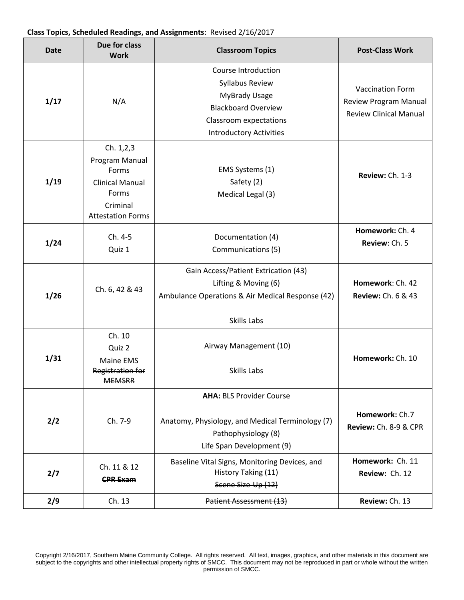#### **Class Topics, Scheduled Readings, and Assignments**: Revised 2/16/2017

| <b>Date</b> | Due for class<br><b>Work</b>                                                                                    | <b>Classroom Topics</b>                                                                                                                                  | <b>Post-Class Work</b>                                                                   |
|-------------|-----------------------------------------------------------------------------------------------------------------|----------------------------------------------------------------------------------------------------------------------------------------------------------|------------------------------------------------------------------------------------------|
| 1/17        | N/A                                                                                                             | Course Introduction<br>Syllabus Review<br><b>MyBrady Usage</b><br><b>Blackboard Overview</b><br>Classroom expectations<br><b>Introductory Activities</b> | <b>Vaccination Form</b><br><b>Review Program Manual</b><br><b>Review Clinical Manual</b> |
| 1/19        | Ch. 1,2,3<br>Program Manual<br>Forms<br><b>Clinical Manual</b><br>Forms<br>Criminal<br><b>Attestation Forms</b> | EMS Systems (1)<br>Safety (2)<br>Medical Legal (3)                                                                                                       | Review: Ch. 1-3                                                                          |
| 1/24        | Ch. 4-5<br>Quiz 1                                                                                               | Documentation (4)<br>Communications (5)                                                                                                                  | Homework: Ch. 4<br>Review: Ch. 5                                                         |
| 1/26        | Ch. 6, 42 & 43                                                                                                  | Gain Access/Patient Extrication (43)<br>Lifting & Moving (6)<br>Ambulance Operations & Air Medical Response (42)<br>Skills Labs                          | Homework: Ch. 42<br><b>Review: Ch. 6 &amp; 43</b>                                        |
| 1/31        | Ch. 10<br>Quiz 2<br>Maine EMS<br>Registration for<br><del>MEMSKK</del>                                          | Airway Management (10)<br>Skills Labs                                                                                                                    | Homework: Ch. 10                                                                         |
| 2/2         | Ch. 7-9                                                                                                         | <b>AHA: BLS Provider Course</b><br>Anatomy, Physiology, and Medical Terminology (7)<br>Pathophysiology (8)<br>Life Span Development (9)                  | Homework: Ch.7<br>Review: Ch. 8-9 & CPR                                                  |
| 2/7         | Ch. 11 & 12<br><b>CPR Exam</b>                                                                                  | Baseline Vital Signs, Monitoring Devices, and<br>History Taking (11)<br>Scene Size-Up (12)                                                               | Homework: Ch. 11<br>Review: Ch. 12                                                       |
| 2/9         | Ch. 13                                                                                                          | Patient Assessment (13)                                                                                                                                  | Review: Ch. 13                                                                           |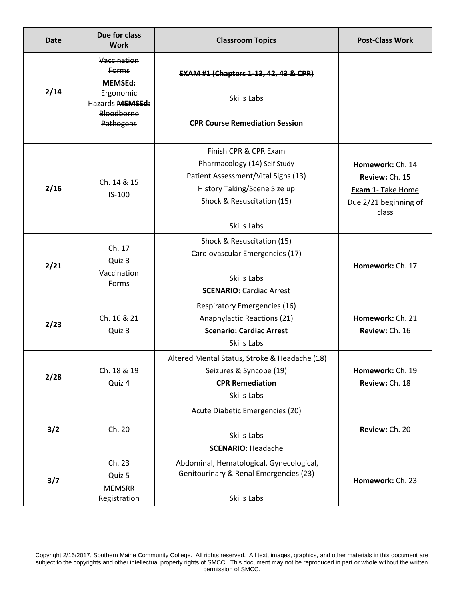| <b>Date</b> | Due for class<br><b>Work</b>                                                                                    | <b>Classroom Topics</b>                                                                                                                                                   | <b>Post-Class Work</b>                                                                           |
|-------------|-----------------------------------------------------------------------------------------------------------------|---------------------------------------------------------------------------------------------------------------------------------------------------------------------------|--------------------------------------------------------------------------------------------------|
| 2/14        | Vaccination<br><b>Forms</b><br><b>MEMSEd:</b><br>Ergonomic<br><b>Hazards MEMSEd:</b><br>Bloodborne<br>Pathogens | <b>EXAM #1 (Chapters 1-13, 42, 43 &amp; CPR)</b><br>Skills Labs<br><b>CPR Course Remediation Session</b>                                                                  |                                                                                                  |
| 2/16        | Ch. 14 & 15<br>$IS-100$                                                                                         | Finish CPR & CPR Exam<br>Pharmacology (14) Self Study<br>Patient Assessment/Vital Signs (13)<br>History Taking/Scene Size up<br>Shock & Resuscitation (15)<br>Skills Labs | Homework: Ch. 14<br>Review: Ch. 15<br><b>Exam 1- Take Home</b><br>Due 2/21 beginning of<br>class |
| 2/21        | Ch. 17<br>Quiz 3<br>Vaccination<br>Forms                                                                        | Shock & Resuscitation (15)<br>Cardiovascular Emergencies (17)<br>Skills Labs<br><b>SCENARIO: Cardiac Arrest</b>                                                           | Homework: Ch. 17                                                                                 |
| 2/23        | Ch. 16 & 21<br>Quiz 3                                                                                           | <b>Respiratory Emergencies (16)</b><br>Anaphylactic Reactions (21)<br><b>Scenario: Cardiac Arrest</b><br>Skills Labs                                                      | Homework: Ch. 21<br>Review: Ch. 16                                                               |
| 2/28        | Ch. 18 & 19<br>Quiz 4                                                                                           | Altered Mental Status, Stroke & Headache (18)<br>Seizures & Syncope (19)<br><b>CPR Remediation</b><br>Skills Labs                                                         | Homework: Ch. 19<br>Review: Ch. 18                                                               |
| 3/2         | Ch. 20                                                                                                          | Acute Diabetic Emergencies (20)<br>Skills Labs<br><b>SCENARIO: Headache</b>                                                                                               | Review: Ch. 20                                                                                   |
| 3/7         | Ch. 23<br>Quiz 5<br><b>MEMSRR</b><br>Registration                                                               | Abdominal, Hematological, Gynecological,<br>Genitourinary & Renal Emergencies (23)<br>Skills Labs                                                                         | Homework: Ch. 23                                                                                 |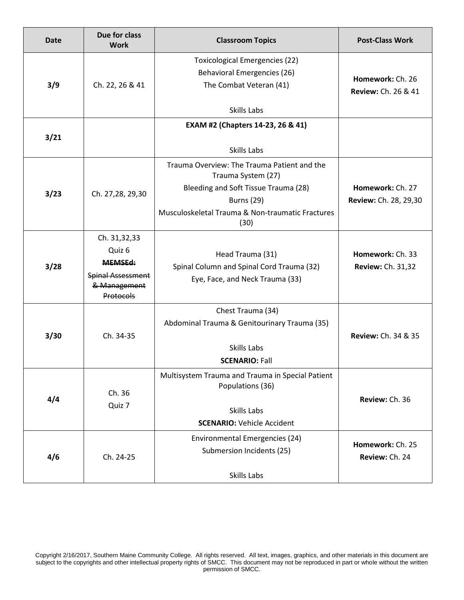| <b>Date</b> | Due for class<br><b>Work</b>                                                                      | <b>Classroom Topics</b>                                                                                                                                                                    | <b>Post-Class Work</b>                             |
|-------------|---------------------------------------------------------------------------------------------------|--------------------------------------------------------------------------------------------------------------------------------------------------------------------------------------------|----------------------------------------------------|
| 3/9         | Ch. 22, 26 & 41                                                                                   | <b>Toxicological Emergencies (22)</b><br><b>Behavioral Emergencies (26)</b><br>The Combat Veteran (41)<br>Skills Labs                                                                      | Homework: Ch. 26<br><b>Review: Ch. 26 &amp; 41</b> |
| 3/21        |                                                                                                   | EXAM #2 (Chapters 14-23, 26 & 41)<br>Skills Labs                                                                                                                                           |                                                    |
| 3/23        | Ch. 27,28, 29,30                                                                                  | Trauma Overview: The Trauma Patient and the<br>Trauma System (27)<br>Bleeding and Soft Tissue Trauma (28)<br><b>Burns (29)</b><br>Musculoskeletal Trauma & Non-traumatic Fractures<br>(30) | Homework: Ch. 27<br>Review: Ch. 28, 29,30          |
| 3/28        | Ch. 31,32,33<br>Quiz 6<br><b>MEMSEd:</b><br><b>Spinal Assessment</b><br>& Management<br>Protocols | Head Trauma (31)<br>Spinal Column and Spinal Cord Trauma (32)<br>Eye, Face, and Neck Trauma (33)                                                                                           | Homework: Ch. 33<br><b>Review: Ch. 31,32</b>       |
| 3/30        | Ch. 34-35                                                                                         | Chest Trauma (34)<br>Abdominal Trauma & Genitourinary Trauma (35)<br>Skills Labs<br><b>SCENARIO: Fall</b>                                                                                  | <b>Review: Ch. 34 &amp; 35</b>                     |
| 4/4         | Ch. 36<br>Quiz 7                                                                                  | Multisystem Trauma and Trauma in Special Patient<br>Populations (36)<br>Skills Labs<br><b>SCENARIO: Vehicle Accident</b>                                                                   | Review: Ch. 36                                     |
| 4/6         | Ch. 24-25                                                                                         | Environmental Emergencies (24)<br>Submersion Incidents (25)<br>Skills Labs                                                                                                                 | Homework: Ch. 25<br>Review: Ch. 24                 |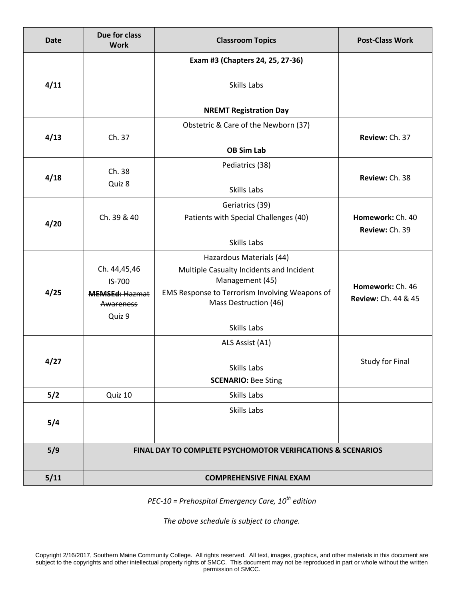| <b>Date</b> | Due for class<br><b>Work</b>                                           | <b>Classroom Topics</b>                                     | <b>Post-Class Work</b>                  |
|-------------|------------------------------------------------------------------------|-------------------------------------------------------------|-----------------------------------------|
|             |                                                                        | Exam #3 (Chapters 24, 25, 27-36)                            |                                         |
| 4/11        |                                                                        | Skills Labs                                                 |                                         |
|             |                                                                        | <b>NREMT Registration Day</b>                               |                                         |
|             |                                                                        | Obstetric & Care of the Newborn (37)                        |                                         |
| 4/13        | Ch. 37                                                                 |                                                             | Review: Ch. 37                          |
|             |                                                                        | <b>OB Sim Lab</b>                                           |                                         |
| 4/18        | Ch. 38                                                                 | Pediatrics (38)                                             | Review: Ch. 38                          |
|             | Quiz 8                                                                 | Skills Labs                                                 |                                         |
|             |                                                                        | Geriatrics (39)                                             |                                         |
| 4/20        | Ch. 39 & 40                                                            | Patients with Special Challenges (40)                       | Homework: Ch. 40                        |
|             |                                                                        |                                                             | Review: Ch. 39                          |
|             |                                                                        | Skills Labs                                                 |                                         |
|             | Ch. 44,45,46                                                           | Hazardous Materials (44)                                    |                                         |
|             | IS-700                                                                 | Multiple Casualty Incidents and Incident<br>Management (45) |                                         |
| 4/25        | <b>MEMSEd: Hazmat</b>                                                  | EMS Response to Terrorism Involving Weapons of              | Homework: Ch. 46<br>Review: Ch. 44 & 45 |
|             | Awareness                                                              | Mass Destruction (46)                                       |                                         |
|             | Quiz 9                                                                 | Skills Labs                                                 |                                         |
|             |                                                                        | ALS Assist (A1)                                             |                                         |
|             |                                                                        |                                                             | <b>Study for Final</b>                  |
| 4/27        |                                                                        | Skills Labs                                                 |                                         |
|             |                                                                        | <b>SCENARIO: Bee Sting</b>                                  |                                         |
| 5/2         | Quiz 10                                                                | Skills Labs                                                 |                                         |
|             |                                                                        | Skills Labs                                                 |                                         |
| 5/4         |                                                                        |                                                             |                                         |
| 5/9         | <b>FINAL DAY TO COMPLETE PSYCHOMOTOR VERIFICATIONS &amp; SCENARIOS</b> |                                                             |                                         |
|             |                                                                        |                                                             |                                         |
| 5/11        | <b>COMPREHENSIVE FINAL EXAM</b>                                        |                                                             |                                         |

*PEC-10 = Prehospital Emergency Care, 10th edition*

*The above schedule is subject to change.*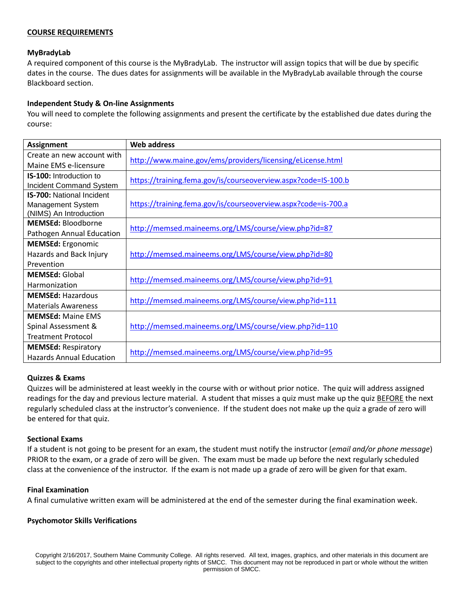### **COURSE REQUIREMENTS**

### **MyBradyLab**

A required component of this course is the MyBradyLab. The instructor will assign topics that will be due by specific dates in the course. The dues dates for assignments will be available in the MyBradyLab available through the course Blackboard section.

### **Independent Study & On-line Assignments**

You will need to complete the following assignments and present the certificate by the established due dates during the course:

| <b>Assignment</b>                | <b>Web address</b>                                             |  |
|----------------------------------|----------------------------------------------------------------|--|
| Create an new account with       |                                                                |  |
| Maine EMS e-licensure            | http://www.maine.gov/ems/providers/licensing/eLicense.html     |  |
| <b>IS-100:</b> Introduction to   | https://training.fema.gov/is/courseoverview.aspx?code=IS-100.b |  |
| Incident Command System          |                                                                |  |
| <b>IS-700: National Incident</b> |                                                                |  |
| Management System                | https://training.fema.gov/is/courseoverview.aspx?code=is-700.a |  |
| (NIMS) An Introduction           |                                                                |  |
| <b>MEMSEd: Bloodborne</b>        | http://memsed.maineems.org/LMS/course/view.php?id=87           |  |
| Pathogen Annual Education        |                                                                |  |
| <b>MEMSEd:</b> Ergonomic         |                                                                |  |
| Hazards and Back Injury          | http://memsed.maineems.org/LMS/course/view.php?id=80           |  |
| Prevention                       |                                                                |  |
| <b>MEMSEd: Global</b>            | http://memsed.maineems.org/LMS/course/view.php?id=91           |  |
| Harmonization                    |                                                                |  |
| <b>MEMSEd: Hazardous</b>         |                                                                |  |
| <b>Materials Awareness</b>       | http://memsed.maineems.org/LMS/course/view.php?id=111          |  |
| <b>MEMSEd: Maine FMS</b>         |                                                                |  |
| Spinal Assessment &              | http://memsed.maineems.org/LMS/course/view.php?id=110          |  |
| <b>Treatment Protocol</b>        |                                                                |  |
| <b>MEMSEd: Respiratory</b>       |                                                                |  |
| <b>Hazards Annual Education</b>  | http://memsed.maineems.org/LMS/course/view.php?id=95           |  |

### **Quizzes & Exams**

Quizzes will be administered at least weekly in the course with or without prior notice. The quiz will address assigned readings for the day and previous lecture material. A student that misses a quiz must make up the quiz BEFORE the next regularly scheduled class at the instructor's convenience. If the student does not make up the quiz a grade of zero will be entered for that quiz.

#### **Sectional Exams**

If a student is not going to be present for an exam, the student must notify the instructor (*email and/or phone message*) PRIOR to the exam, or a grade of zero will be given. The exam must be made up before the next regularly scheduled class at the convenience of the instructor. If the exam is not made up a grade of zero will be given for that exam.

#### **Final Examination**

A final cumulative written exam will be administered at the end of the semester during the final examination week.

### **Psychomotor Skills Verifications**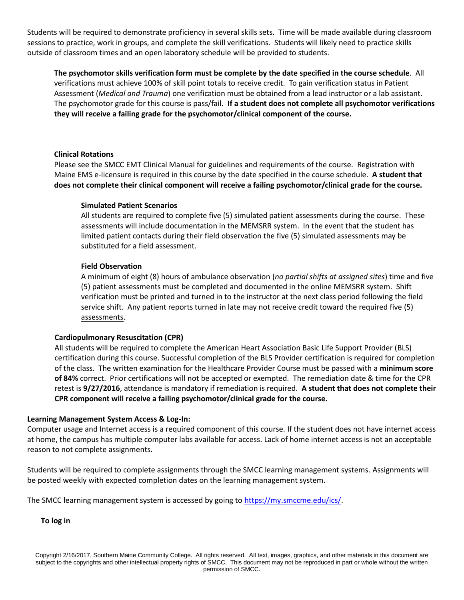Students will be required to demonstrate proficiency in several skills sets. Time will be made available during classroom sessions to practice, work in groups, and complete the skill verifications. Students will likely need to practice skills outside of classroom times and an open laboratory schedule will be provided to students.

**The psychomotor skills verification form must be complete by the date specified in the course schedule**. All verifications must achieve 100% of skill point totals to receive credit. To gain verification status in Patient Assessment (*Medical and Trauma*) one verification must be obtained from a lead instructor or a lab assistant. The psychomotor grade for this course is pass/fail**. If a student does not complete all psychomotor verifications they will receive a failing grade for the psychomotor/clinical component of the course.**

### **Clinical Rotations**

Please see the SMCC EMT Clinical Manual for guidelines and requirements of the course. Registration with Maine EMS e-licensure is required in this course by the date specified in the course schedule. **A student that does not complete their clinical component will receive a failing psychomotor/clinical grade for the course.**

#### **Simulated Patient Scenarios**

All students are required to complete five (5) simulated patient assessments during the course. These assessments will include documentation in the MEMSRR system. In the event that the student has limited patient contacts during their field observation the five (5) simulated assessments may be substituted for a field assessment.

#### **Field Observation**

A minimum of eight (8) hours of ambulance observation (*no partial shifts at assigned sites*) time and five (5) patient assessments must be completed and documented in the online MEMSRR system. Shift verification must be printed and turned in to the instructor at the next class period following the field service shift. Any patient reports turned in late may not receive credit toward the required five (5) assessments.

#### **Cardiopulmonary Resuscitation (CPR)**

All students will be required to complete the American Heart Association Basic Life Support Provider (BLS) certification during this course. Successful completion of the BLS Provider certification is required for completion of the class. The written examination for the Healthcare Provider Course must be passed with a **minimum score of 84%** correct. Prior certifications will not be accepted or exempted. The remediation date & time for the CPR retest is **9/27/2016**, attendance is mandatory if remediation is required. **A student that does not complete their CPR component will receive a failing psychomotor/clinical grade for the course.**

#### **Learning Management System Access & Log-In:**

Computer usage and Internet access is a required component of this course. If the student does not have internet access at home, the campus has multiple computer labs available for access. Lack of home internet access is not an acceptable reason to not complete assignments.

Students will be required to complete assignments through the SMCC learning management systems. Assignments will be posted weekly with expected completion dates on the learning management system.

The SMCC learning management system is accessed by going to [https://my.smccme.edu/ics/.](https://my.smccme.edu/ics/)

**To log in**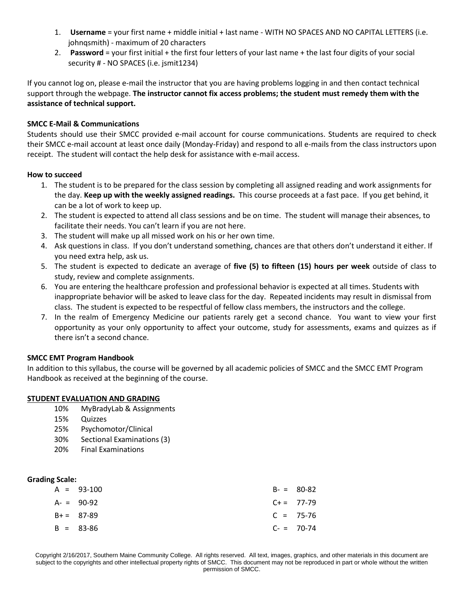- 1. **Username** = your first name + middle initial + last name WITH NO SPACES AND NO CAPITAL LETTERS (i.e. johnqsmith) - maximum of 20 characters
- 2. **Password** = your first initial + the first four letters of your last name + the last four digits of your social security # - NO SPACES (i.e. jsmit1234)

If you cannot log on, please e-mail the instructor that you are having problems logging in and then contact technical support through the webpage. **The instructor cannot fix access problems; the student must remedy them with the assistance of technical support.**

### **SMCC E-Mail & Communications**

Students should use their SMCC provided e-mail account for course communications. Students are required to check their SMCC e-mail account at least once daily (Monday-Friday) and respond to all e-mails from the class instructors upon receipt. The student will contact the help desk for assistance with e-mail access.

### **How to succeed**

- 1. The student is to be prepared for the class session by completing all assigned reading and work assignments for the day. **Keep up with the weekly assigned readings.** This course proceeds at a fast pace. If you get behind, it can be a lot of work to keep up.
- 2. The student is expected to attend all class sessions and be on time. The student will manage their absences, to facilitate their needs. You can't learn if you are not here.
- 3. The student will make up all missed work on his or her own time.
- 4. Ask questions in class. If you don't understand something, chances are that others don't understand it either. If you need extra help, ask us.
- 5. The student is expected to dedicate an average of **five (5) to fifteen (15) hours per week** outside of class to study, review and complete assignments.
- 6. You are entering the healthcare profession and professional behavior is expected at all times. Students with inappropriate behavior will be asked to leave class for the day. Repeated incidents may result in dismissal from class. The student is expected to be respectful of fellow class members, the instructors and the college.
- 7. In the realm of Emergency Medicine our patients rarely get a second chance. You want to view your first opportunity as your only opportunity to affect your outcome, study for assessments, exams and quizzes as if there isn't a second chance.

### **SMCC EMT Program Handbook**

In addition to this syllabus, the course will be governed by all academic policies of SMCC and the SMCC EMT Program Handbook as received at the beginning of the course.

### **STUDENT EVALUATION AND GRADING**

- 10% MyBradyLab & Assignments
- 15% Quizzes
- 25% Psychomotor/Clinical
- 30% Sectional Examinations (3)
- 20% Final Examinations

### **Grading Scale:**

| $A = 93-100$  | $B - = 80 - 82$ |
|---------------|-----------------|
| $A - 90 - 92$ | $C+=77-79$      |
| $B+= 87-89$   | $C = 75-76$     |
| $B = 83-86$   | $C- = 70-74$    |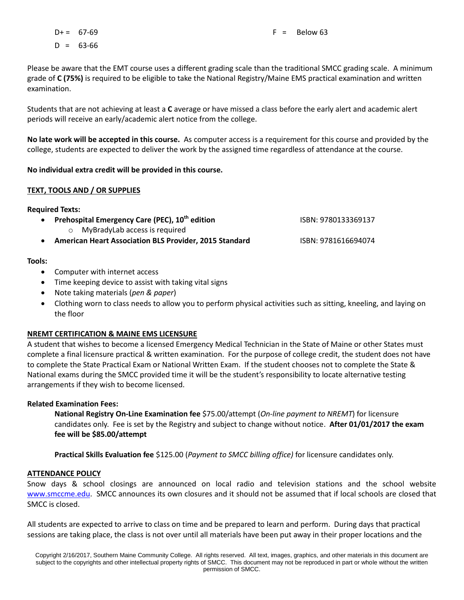$D+ = 67-69$  $D = 63-66$ 

Please be aware that the EMT course uses a different grading scale than the traditional SMCC grading scale. A minimum grade of **C (75%)** is required to be eligible to take the National Registry/Maine EMS practical examination and written examination.

Students that are not achieving at least a **C** average or have missed a class before the early alert and academic alert periods will receive an early/academic alert notice from the college.

**No late work will be accepted in this course.** As computer access is a requirement for this course and provided by the college, students are expected to deliver the work by the assigned time regardless of attendance at the course.

### **No individual extra credit will be provided in this course.**

### **TEXT, TOOLS AND / OR SUPPLIES**

## **Required Texts:**

| $\bullet$ | Prehospital Emergency Care (PEC), 10 <sup>th</sup> edition    | ISBN: 9780133369137 |
|-----------|---------------------------------------------------------------|---------------------|
|           | $\circ$ MyBradyLab access is required                         |                     |
| $\bullet$ | <b>American Heart Association BLS Provider, 2015 Standard</b> | ISBN: 9781616694074 |

# **Tools:**

- Computer with internet access
- Time keeping device to assist with taking vital signs
- Note taking materials (*pen & paper*)
- Clothing worn to class needs to allow you to perform physical activities such as sitting, kneeling, and laying on the floor

# **NREMT CERTIFICATION & MAINE EMS LICENSURE**

A student that wishes to become a licensed Emergency Medical Technician in the State of Maine or other States must complete a final licensure practical & written examination. For the purpose of college credit, the student does not have to complete the State Practical Exam or National Written Exam. If the student chooses not to complete the State & National exams during the SMCC provided time it will be the student's responsibility to locate alternative testing arrangements if they wish to become licensed.

# **Related Examination Fees:**

**National Registry On-Line Examination fee** \$75.00/attempt (*On-line payment to NREMT*) for licensure candidates only. Fee is set by the Registry and subject to change without notice. **After 01/01/2017 the exam fee will be \$85.00/attempt**

**Practical Skills Evaluation fee** \$125.00 (*Payment to SMCC billing office)* for licensure candidates only.

# **ATTENDANCE POLICY**

Snow days & school closings are announced on local radio and television stations and the school website [www.smccme.edu.](http://www.smccme.edu/) SMCC announces its own closures and it should not be assumed that if local schools are closed that SMCC is closed.

All students are expected to arrive to class on time and be prepared to learn and perform. During days that practical sessions are taking place, the class is not over until all materials have been put away in their proper locations and the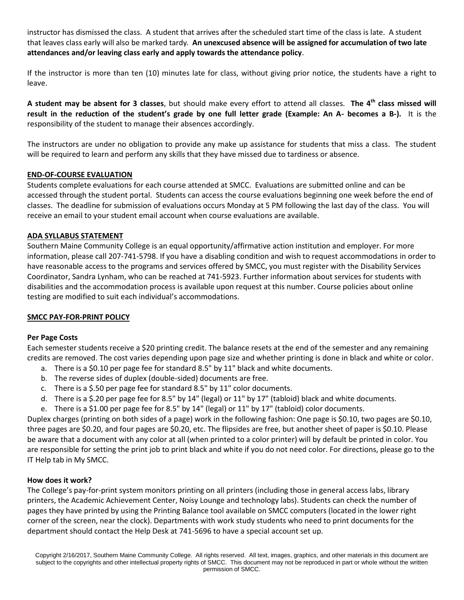instructor has dismissed the class. A student that arrives after the scheduled start time of the class is late. A student that leaves class early will also be marked tardy. **An unexcused absence will be assigned for accumulation of two late attendances and/or leaving class early and apply towards the attendance policy**.

If the instructor is more than ten (10) minutes late for class, without giving prior notice, the students have a right to leave.

**A student may be absent for 3 classes**, but should make every effort to attend all classes*.* **The 4 th class missed will result in the reduction of the student's grade by one full letter grade (Example: An A- becomes a B-).** It is the responsibility of the student to manage their absences accordingly.

The instructors are under no obligation to provide any make up assistance for students that miss a class. The student will be required to learn and perform any skills that they have missed due to tardiness or absence.

### **END-OF-COURSE EVALUATION**

Students complete evaluations for each course attended at SMCC. Evaluations are submitted online and can be accessed through the student portal. Students can access the course evaluations beginning one week before the end of classes. The deadline for submission of evaluations occurs Monday at 5 PM following the last day of the class. You will receive an email to your student email account when course evaluations are available.

### **ADA SYLLABUS STATEMENT**

Southern Maine Community College is an equal opportunity/affirmative action institution and employer. For more information, please call 207-741-5798. If you have a disabling condition and wish to request accommodations in order to have reasonable access to the programs and services offered by SMCC, you must register with the Disability Services Coordinator, Sandra Lynham, who can be reached at 741-5923. Further information about services for students with disabilities and the accommodation process is available upon request at this number. Course policies about online testing are modified to suit each individual's accommodations.

# **SMCC PAY-FOR-PRINT POLICY**

# **Per Page Costs**

Each semester students receive a \$20 printing credit. The balance resets at the end of the semester and any remaining credits are removed. The cost varies depending upon page size and whether printing is done in black and white or color.

- a. There is a \$0.10 per page fee for standard 8.5" by 11" black and white documents.
- b. The reverse sides of duplex (double-sided) documents are free.
- c. There is a \$.50 per page fee for standard 8.5" by 11" color documents.
- d. There is a \$.20 per page fee for 8.5" by 14" (legal) or 11" by 17" (tabloid) black and white documents.
- e. There is a \$1.00 per page fee for 8.5" by 14" (legal) or 11" by 17" (tabloid) color documents.

Duplex charges (printing on both sides of a page) work in the following fashion: One page is \$0.10, two pages are \$0.10, three pages are \$0.20, and four pages are \$0.20, etc. The flipsides are free, but another sheet of paper is \$0.10. Please be aware that a document with any color at all (when printed to a color printer) will by default be printed in color. You are responsible for setting the print job to print black and white if you do not need color. For directions, please go to the IT Help tab in My SMCC.

### **How does it work?**

The College's pay-for-print system monitors printing on all printers (including those in general access labs, library printers, the Academic Achievement Center, Noisy Lounge and technology labs). Students can check the number of pages they have printed by using the Printing Balance tool available on SMCC computers (located in the lower right corner of the screen, near the clock). Departments with work study students who need to print documents for the department should contact the Help Desk at 741-5696 to have a special account set up.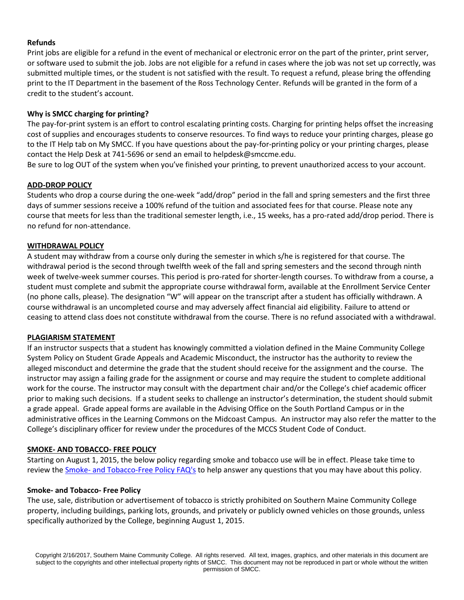### **Refunds**

Print jobs are eligible for a refund in the event of mechanical or electronic error on the part of the printer, print server, or software used to submit the job. Jobs are not eligible for a refund in cases where the job was not set up correctly, was submitted multiple times, or the student is not satisfied with the result. To request a refund, please bring the offending print to the IT Department in the basement of the Ross Technology Center. Refunds will be granted in the form of a credit to the student's account.

### **Why is SMCC charging for printing?**

The pay-for-print system is an effort to control escalating printing costs. Charging for printing helps offset the increasing cost of supplies and encourages students to conserve resources. To find ways to reduce your printing charges, please go to the IT Help tab on My SMCC. If you have questions about the pay-for-printing policy or your printing charges, please contact the Help Desk at 741-5696 or send an email to helpdesk@smccme.edu.

Be sure to log OUT of the system when you've finished your printing, to prevent unauthorized access to your account.

## **ADD-DROP POLICY**

Students who drop a course during the one-week "add/drop" period in the fall and spring semesters and the first three days of summer sessions receive a 100% refund of the tuition and associated fees for that course. Please note any course that meets for less than the traditional semester length, i.e., 15 weeks, has a pro-rated add/drop period. There is no refund for non-attendance.

### **WITHDRAWAL POLICY**

A student may withdraw from a course only during the semester in which s/he is registered for that course. The withdrawal period is the second through twelfth week of the fall and spring semesters and the second through ninth week of twelve-week summer courses. This period is pro-rated for shorter-length courses. To withdraw from a course, a student must complete and submit the appropriate course withdrawal form, available at the Enrollment Service Center (no phone calls, please). The designation "W" will appear on the transcript after a student has officially withdrawn. A course withdrawal is an uncompleted course and may adversely affect financial aid eligibility. Failure to attend or ceasing to attend class does not constitute withdrawal from the course. There is no refund associated with a withdrawal.

### **PLAGIARISM STATEMENT**

If an instructor suspects that a student has knowingly committed a violation defined in the Maine Community College System Policy on Student Grade Appeals and Academic Misconduct, the instructor has the authority to review the alleged misconduct and determine the grade that the student should receive for the assignment and the course. The instructor may assign a failing grade for the assignment or course and may require the student to complete additional work for the course. The instructor may consult with the department chair and/or the College's chief academic officer prior to making such decisions. If a student seeks to challenge an instructor's determination, the student should submit a grade appeal. Grade appeal forms are available in the Advising Office on the South Portland Campus or in the administrative offices in the Learning Commons on the Midcoast Campus. An instructor may also refer the matter to the College's disciplinary officer for review under the procedures of the MCCS Student Code of Conduct.

### **SMOKE- AND TOBACCO- FREE POLICY**

Starting on August 1, 2015, the below policy regarding smoke and tobacco use will be in effect. Please take time to review the Smoke- [and Tobacco-Free Policy FAQ's](https://my.smccme.edu/ICS/Portlets/ICS/Handoutportlet/viewhandler.ashx?handout_id=be2cfc01-73a5-40c9-b716-d025b35e6fd8) to help answer any questions that you may have about this policy.

### **Smoke- and Tobacco- Free Policy**

The use, sale, distribution or advertisement of tobacco is strictly prohibited on Southern Maine Community College property, including buildings, parking lots, grounds, and privately or publicly owned vehicles on those grounds, unless specifically authorized by the College, beginning August 1, 2015.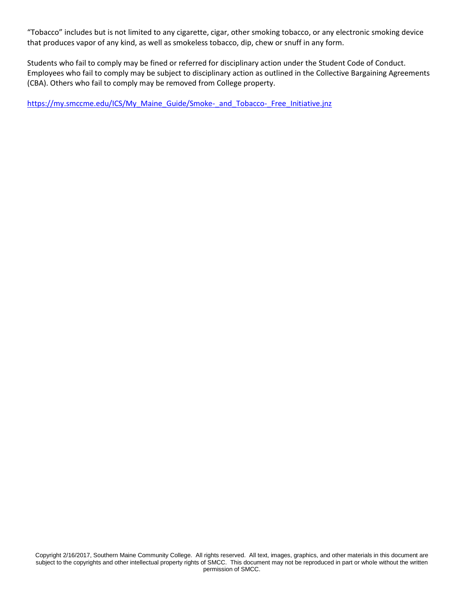"Tobacco" includes but is not limited to any cigarette, cigar, other smoking tobacco, or any electronic smoking device that produces vapor of any kind, as well as smokeless tobacco, dip, chew or snuff in any form.

Students who fail to comply may be fined or referred for disciplinary action under the Student Code of Conduct. Employees who fail to comply may be subject to disciplinary action as outlined in the Collective Bargaining Agreements (CBA). Others who fail to comply may be removed from College property.

[https://my.smccme.edu/ICS/My\\_Maine\\_Guide/Smoke-\\_and\\_Tobacco-\\_Free\\_Initiative.jnz](https://my.smccme.edu/ICS/My_Maine_Guide/Smoke-_and_Tobacco-_Free_Initiative.jnz)